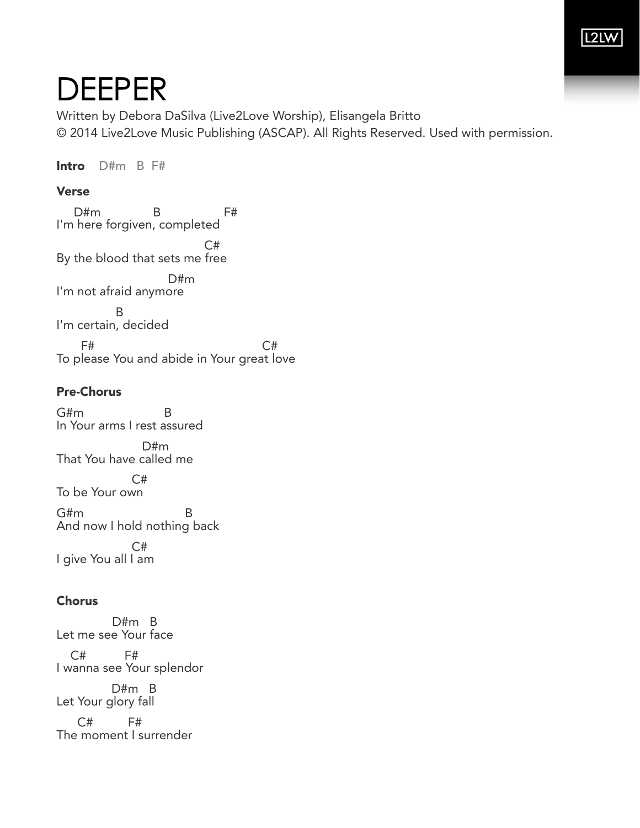## **L2LW**

# DEEPER

Written by Debora DaSilva (Live2Love Worship), Elisangela Britto © 2014 Live2Love Music Publishing (ASCAP). All Rights Reserved. Used with permission.

Intro D#m B F#

#### Verse

 D#m B F# I'm here forgiven, completed C# By the blood that sets me free D#m I'm not afraid anymore **B** I'm certain, decided  $F#$  C# To please You and abide in Your great love

### Pre-Chorus

G#m B In Your arms I rest assured D#m That You have called me C# To be Your own G#m B And now I hold nothing back C# I give You all I am

#### Chorus

 D#m B Let me see Your face C# F#

I wanna see Your splendor

 D#m B Let Your glory fall

 C# F# The moment I surrender